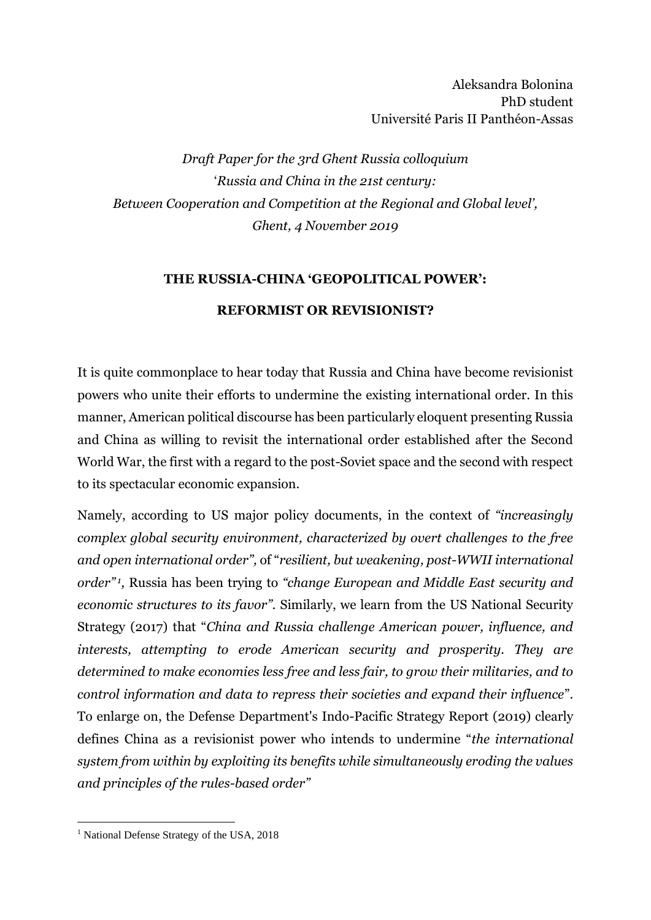*Draft Paper for the 3rd Ghent Russia colloquium* '*Russia and China in the 21st century: Between Cooperation and Competition at the Regional and Global level', Ghent, 4 November 2019*

# **THE RUSSIA-CHINA 'GEOPOLITICAL POWER': REFORMIST OR REVISIONIST?**

It is quite commonplace to hear today that Russia and China have become revisionist powers who unite their efforts to undermine the existing international order. In this manner, American political discourse has been particularly eloquent presenting Russia and China as willing to revisit the international order established after the Second World War, the first with a regard to the post-Soviet space and the second with respect to its spectacular economic expansion.

Namely, according to US major policy documents, in the context of *"increasingly complex global security environment, characterized by overt challenges to the free and open international order",* of "*resilient, but weakening, post-WWII international order" 1 ,* Russia has been trying to *"change European and Middle East security and economic structures to its favor".* Similarly, we learn from the US National Security Strategy (2017) that "*China and Russia challenge American power, influence, and interests, attempting to erode American security and prosperity. They are determined to make economies less free and less fair, to grow their militaries, and to control information and data to repress their societies and expand their influence*". To enlarge on, the Defense Department's Indo-Pacific Strategy Report (2019) clearly defines China as a revisionist power who intends to undermine "*the international system from within by exploiting its benefits while simultaneously eroding the values and principles of the rules-based order"*

<sup>&</sup>lt;sup>1</sup> National Defense Strategy of the USA, 2018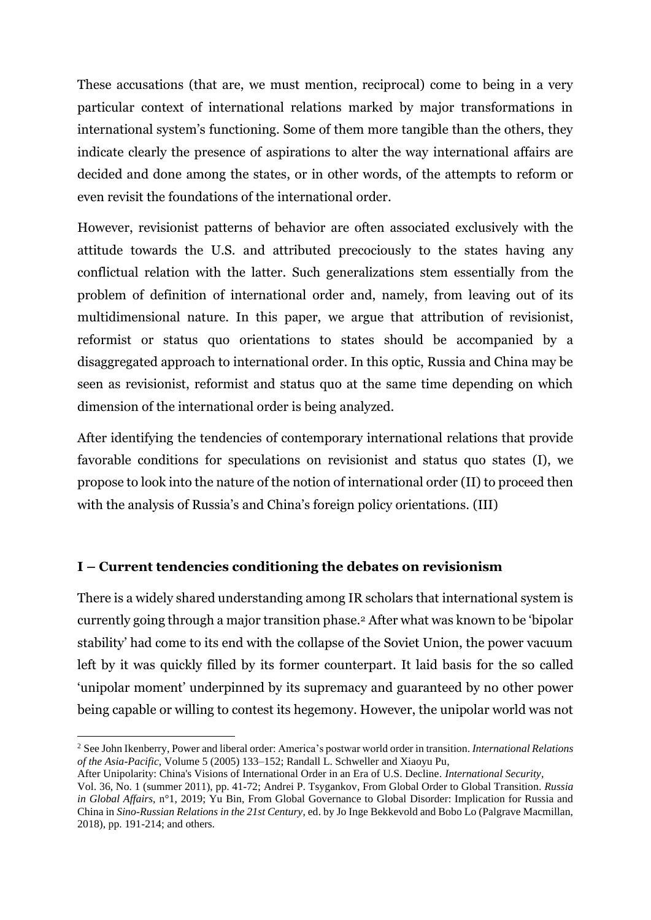These accusations (that are, we must mention, reciprocal) come to being in a very particular context of international relations marked by major transformations in international system's functioning. Some of them more tangible than the others, they indicate clearly the presence of aspirations to alter the way international affairs are decided and done among the states, or in other words, of the attempts to reform or even revisit the foundations of the international order.

However, revisionist patterns of behavior are often associated exclusively with the attitude towards the U.S. and attributed precociously to the states having any conflictual relation with the latter. Such generalizations stem essentially from the problem of definition of international order and, namely, from leaving out of its multidimensional nature. In this paper, we argue that attribution of revisionist, reformist or status quo orientations to states should be accompanied by a disaggregated approach to international order. In this optic, Russia and China may be seen as revisionist, reformist and status quo at the same time depending on which dimension of the international order is being analyzed.

After identifying the tendencies of contemporary international relations that provide favorable conditions for speculations on revisionist and status quo states (I), we propose to look into the nature of the notion of international order (II) to proceed then with the analysis of Russia's and China's foreign policy orientations. (III)

# **I – Current tendencies conditioning the debates on revisionism**

There is a widely shared understanding among IR scholars that international system is currently going through a major transition phase.<sup>2</sup> After what was known to be 'bipolar stability' had come to its end with the collapse of the Soviet Union, the power vacuum left by it was quickly filled by its former counterpart. It laid basis for the so called 'unipolar moment' underpinned by its supremacy and guaranteed by no other power being capable or willing to contest its hegemony. However, the unipolar world was not

<sup>2</sup> See John Ikenberry, Power and liberal order: America's postwar world order in transition. *International Relations of the Asia-Pacific*, Volume 5 (2005) 133–152; Randall L. Schweller and Xiaoyu Pu,

After Unipolarity: China's Visions of International Order in an Era of U.S. Decline*. International Security,*

Vol. 36, No. 1 (summer 2011), pp. 41-72; Andrei P. Tsygankov, From Global Order to Global Transition. *Russia in Global Affairs,* n°1, 2019; Yu Bin, From Global Governance to Global Disorder: Implication for Russia and China in *Sino-Russian Relations in the 21st Century*, ed. by Jo Inge Bekkevold and Bobo Lo (Palgrave Macmillan, 2018), pp. 191-214; and others.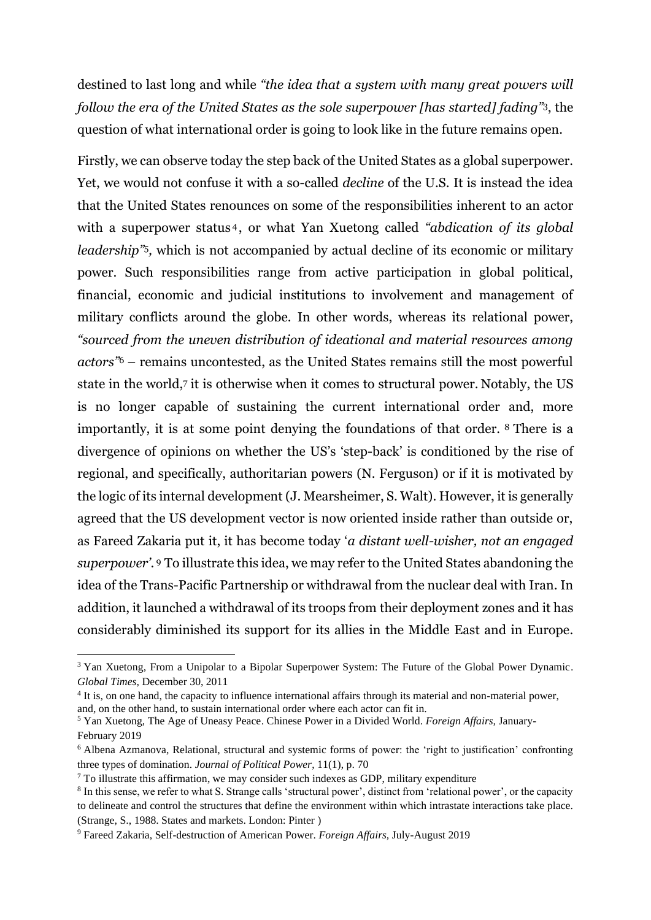destined to last long and while *"the idea that a system with many great powers will follow the era of the United States as the sole superpower [has started] fading"*3, the question of what international order is going to look like in the future remains open.

Firstly, we can observe today the step back of the United States as a global superpower. Yet, we would not confuse it with a so-called *decline* of the U.S. It is instead the idea that the United States renounces on some of the responsibilities inherent to an actor with a superpower status<sup>4</sup>, or what Yan Xuetong called "abdication of its global *leadership"*5*,* which is not accompanied by actual decline of its economic or military power. Such responsibilities range from active participation in global political, financial, economic and judicial institutions to involvement and management of military conflicts around the globe. In other words, whereas its relational power, *"sourced from the uneven distribution of ideational and material resources among actors"*<sup>6</sup> – remains uncontested, as the United States remains still the most powerful state in the world,<sup>7</sup> it is otherwise when it comes to structural power. Notably, the US is no longer capable of sustaining the current international order and, more importantly, it is at some point denying the foundations of that order. <sup>8</sup> There is a divergence of opinions on whether the US's 'step-back' is conditioned by the rise of regional, and specifically, authoritarian powers (N. Ferguson) or if it is motivated by the logic of its internal development (J. Mearsheimer, S. Walt). However, it is generally agreed that the US development vector is now oriented inside rather than outside or, as Fareed Zakaria put it, it has become today '*a distant well-wisher, not an engaged superpower'*. <sup>9</sup> To illustrate this idea, we may refer to the United States abandoning the idea of the Trans-Pacific Partnership or withdrawal from the nuclear deal with Iran. In addition, it launched a withdrawal of its troops from their deployment zones and it has considerably diminished its support for its allies in the Middle East and in Europe.

<sup>&</sup>lt;sup>3</sup> Yan Xuetong, From a Unipolar to a Bipolar Superpower System: The Future of the Global Power Dynamic. *Global Times,* December 30, 2011

<sup>&</sup>lt;sup>4</sup> It is, on one hand, the capacity to influence international affairs through its material and non-material power, and, on the other hand, to sustain international order where each actor can fit in.

<sup>5</sup> Yan Xuetong, The Age of Uneasy Peace. Chinese Power in a Divided World. *Foreign Affairs,* January-February 2019

<sup>6</sup> Albena Azmanova, Relational, structural and systemic forms of power: the 'right to justification' confronting three types of domination. *Journal of Political Power*, 11(1), p. 70

 $7$  To illustrate this affirmation, we may consider such indexes as GDP, military expenditure

<sup>&</sup>lt;sup>8</sup> In this sense, we refer to what S. Strange calls 'structural power', distinct from 'relational power', or the capacity to delineate and control the structures that define the environment within which intrastate interactions take place. (Strange, S., 1988. States and markets. London: Pinter )

<sup>9</sup> Fareed Zakaria, Self-destruction of American Power. *Foreign Affairs,* July-August 2019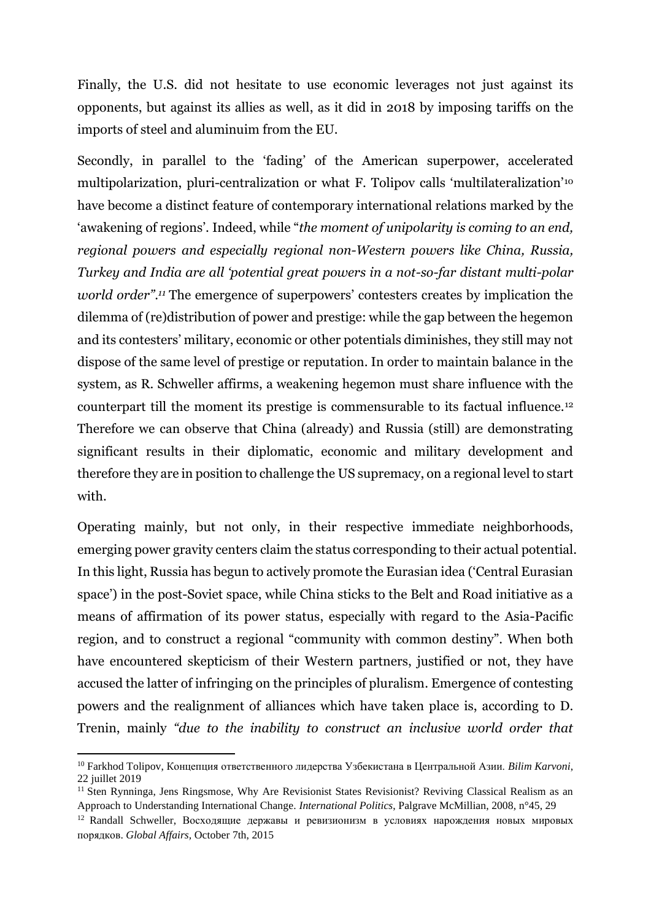Finally, the U.S. did not hesitate to use economic leverages not just against its opponents, but against its allies as well, as it did in 2018 by imposing tariffs on the imports of steel and aluminuim from the EU.

Secondly, in parallel to the 'fading' of the American superpower, accelerated multipolarization, pluri-centralization or what F. Tolipov calls 'multilateralization'<sup>10</sup> have become a distinct feature of contemporary international relations marked by the 'awakening of regions'. Indeed, while "*the moment of unipolarity is coming to an end, regional powers and especially regional non-Western powers like China, Russia, Turkey and India are all 'potential great powers in a not-so-far distant multi-polar world order"*. *<sup>11</sup>* The emergence of superpowers' contesters creates by implication the dilemma of (re)distribution of power and prestige: while the gap between the hegemon and its contesters' military, economic or other potentials diminishes, they still may not dispose of the same level of prestige or reputation. In order to maintain balance in the system, as R. Schweller affirms, a weakening hegemon must share influence with the counterpart till the moment its prestige is commensurable to its factual influence.<sup>12</sup> Therefore we can observe that China (already) and Russia (still) are demonstrating significant results in their diplomatic, economic and military development and therefore they are in position to challenge the US supremacy, on a regional level to start with.

Operating mainly, but not only, in their respective immediate neighborhoods, emerging power gravity centers claim the status corresponding to their actual potential. In this light, Russia has begun to actively promote the Eurasian idea ('Central Eurasian space') in the post-Soviet space, while China sticks to the Belt and Road initiative as a means of affirmation of its power status, especially with regard to the Asia-Pacific region, and to construct a regional "community with common destiny". When both have encountered skepticism of their Western partners, justified or not, they have accused the latter of infringing on the principles of pluralism. Emergence of contesting powers and the realignment of alliances which have taken place is, according to D. Trenin, mainly *"due to the inability to construct an inclusive world order that* 

<sup>10</sup> Farkhod Tolipov, Концепция ответственного лидерства Узбекистана в Центральной Азии. *Bilim Karvoni*, 22 juillet 2019

<sup>&</sup>lt;sup>11</sup> Sten Rynninga, Jens Ringsmose, Why Are Revisionist States Revisionist? Reviving Classical Realism as an Approach to Understanding International Change. *International Politics*, Palgrave McMillian, 2008, n°45, 29

 $12$  Randall Schweller, Восходящие державы и ревизионизм в условиях нарождения новых мировых порядков. *Global Affairs,* October 7th, 2015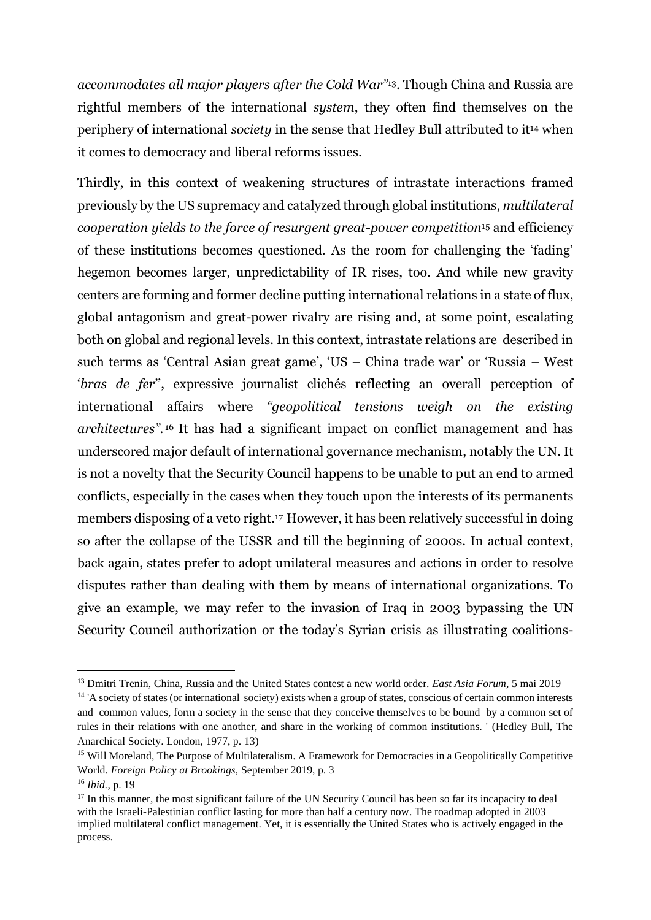*accommodates all major players after the Cold War"*13. Though China and Russia are rightful members of the international *system*, they often find themselves on the periphery of international *society* in the sense that Hedley Bull attributed to it<sup>14</sup> when it comes to democracy and liberal reforms issues.

Thirdly, in this context of weakening structures of intrastate interactions framed previously by the US supremacy and catalyzed through global institutions, *multilateral cooperation yields to the force of resurgent great-power competition*<sup>15</sup> and efficiency of these institutions becomes questioned. As the room for challenging the 'fading' hegemon becomes larger, unpredictability of IR rises, too. And while new gravity centers are forming and former decline putting international relations in a state of flux, global antagonism and great-power rivalry are rising and, at some point, escalating both on global and regional levels. In this context, intrastate relations are described in such terms as 'Central Asian great game', 'US – China trade war' or 'Russia – West '*bras de fer*'', expressive journalist clichés reflecting an overall perception of international affairs where *"geopolitical tensions weigh on the existing architectures"*. <sup>16</sup> It has had a significant impact on conflict management and has underscored major default of international governance mechanism, notably the UN. It is not a novelty that the Security Council happens to be unable to put an end to armed conflicts, especially in the cases when they touch upon the interests of its permanents members disposing of a veto right.<sup>17</sup> However, it has been relatively successful in doing so after the collapse of the USSR and till the beginning of 2000s. In actual context, back again, states prefer to adopt unilateral measures and actions in order to resolve disputes rather than dealing with them by means of international organizations. To give an example, we may refer to the invasion of Iraq in 2003 bypassing the UN Security Council authorization or the today's Syrian crisis as illustrating coalitions-

<sup>13</sup> Dmitri Trenin, China, Russia and the United States contest a new world order. *East Asia Forum*, 5 mai 2019

<sup>&</sup>lt;sup>14</sup> 'A society of states (or international society) exists when a group of states, conscious of certain common interests and common values, form a society in the sense that they conceive themselves to be bound by a common set of rules in their relations with one another, and share in the working of common institutions. ' (Hedley Bull, The Anarchical Society. London, 1977, p. 13)

<sup>&</sup>lt;sup>15</sup> Will Moreland, The Purpose of Multilateralism. A Framework for Democracies in a Geopolitically Competitive World. *Foreign Policy at Brookings,* September 2019, p. 3

<sup>16</sup> *Ibid.*, p. 19

<sup>&</sup>lt;sup>17</sup> In this manner, the most significant failure of the UN Security Council has been so far its incapacity to deal with the Israeli-Palestinian conflict lasting for more than half a century now. The roadmap adopted in 2003 implied multilateral conflict management. Yet, it is essentially the United States who is actively engaged in the process.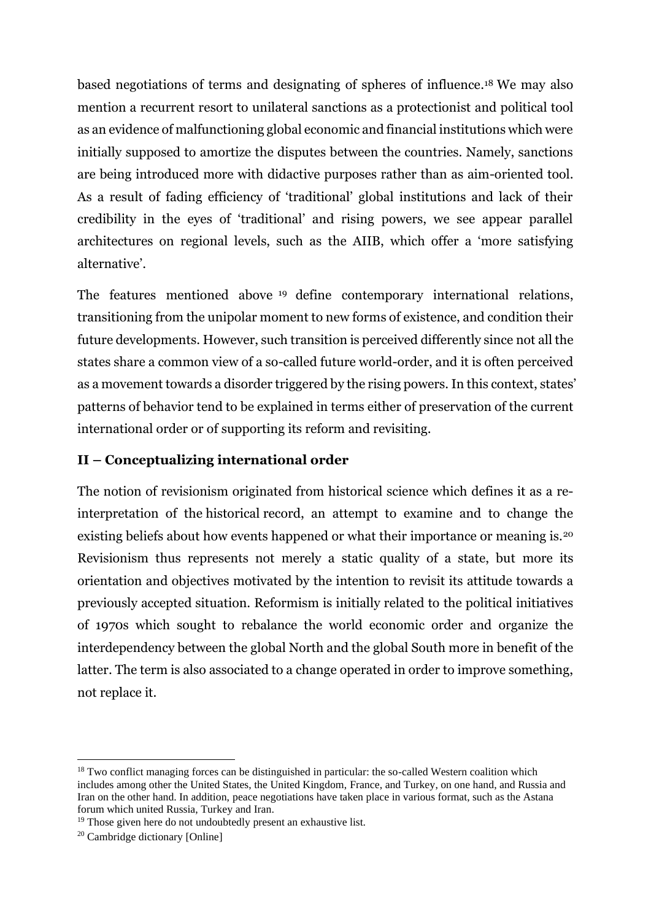based negotiations of terms and designating of spheres of influence. <sup>18</sup> We may also mention a recurrent resort to unilateral sanctions as a protectionist and political tool as an evidence of malfunctioning global economic and financial institutions which were initially supposed to amortize the disputes between the countries. Namely, sanctions are being introduced more with didactive purposes rather than as aim-oriented tool. As a result of fading efficiency of 'traditional' global institutions and lack of their credibility in the eyes of 'traditional' and rising powers, we see appear parallel architectures on regional levels, such as the AIIB, which offer a 'more satisfying alternative'.

The features mentioned above <sup>19</sup> define contemporary international relations, transitioning from the unipolar moment to new forms of existence, and condition their future developments. However, such transition is perceived differently since not all the states share a common view of a so-called future world-order, and it is often perceived as a movement towards a disorder triggered by the rising powers. In this context, states' patterns of behavior tend to be explained in terms either of preservation of the current international order or of supporting its reform and revisiting.

# **II – Conceptualizing international order**

The notion of revisionism originated from historical science which defines it as a reinterpretation of the historical record, an attempt to examine and to change the existing beliefs about how events happened or what their importance or meaning is.<sup>20</sup> Revisionism thus represents not merely a static quality of a state, but more its orientation and objectives motivated by the intention to revisit its attitude towards a previously accepted situation. Reformism is initially related to the political initiatives of 1970s which sought to rebalance the world economic order and organize the interdependency between the global North and the global South more in benefit of the latter. The term is also associated to a change operated in order to improve something, not replace it.

<sup>&</sup>lt;sup>18</sup> Two conflict managing forces can be distinguished in particular: the so-called Western coalition which includes among other the United States, the United Kingdom, France, and Turkey, on one hand, and Russia and Iran on the other hand. In addition, peace negotiations have taken place in various format, such as the Astana forum which united Russia, Turkey and Iran.

<sup>&</sup>lt;sup>19</sup> Those given here do not undoubtedly present an exhaustive list.

<sup>20</sup> Cambridge dictionary [Online]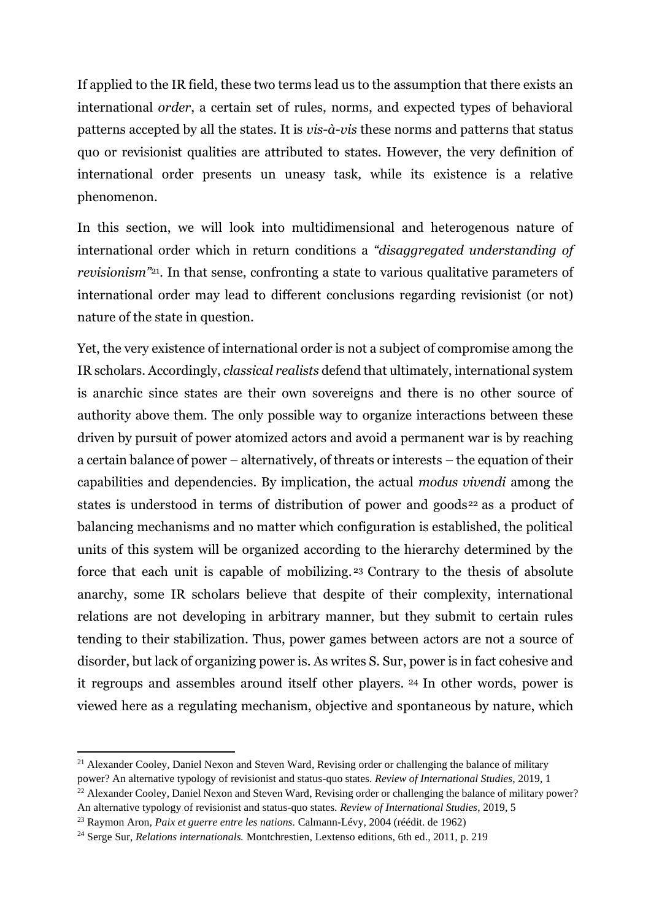If applied to the IR field, these two terms lead us to the assumption that there exists an international *order*, a certain set of rules, norms, and expected types of behavioral patterns accepted by all the states. It is *vis-à-vis* these norms and patterns that status quo or revisionist qualities are attributed to states. However, the very definition of international order presents un uneasy task, while its existence is a relative phenomenon.

In this section, we will look into multidimensional and heterogenous nature of international order which in return conditions a *"disaggregated understanding of revisionism*<sup>"21</sup>. In that sense, confronting a state to various qualitative parameters of international order may lead to different conclusions regarding revisionist (or not) nature of the state in question.

Yet, the very existence of international order is not a subject of compromise among the IR scholars. Accordingly, *classical realists* defend that ultimately, international system is anarchic since states are their own sovereigns and there is no other source of authority above them. The only possible way to organize interactions between these driven by pursuit of power atomized actors and avoid a permanent war is by reaching a certain balance of power – alternatively, of threats or interests – the equation of their capabilities and dependencies. By implication, the actual *modus vivendi* among the states is understood in terms of distribution of power and goods<sup>22</sup> as a product of balancing mechanisms and no matter which configuration is established, the political units of this system will be organized according to the hierarchy determined by the force that each unit is capable of mobilizing. <sup>23</sup> Contrary to the thesis of absolute anarchy, some IR scholars believe that despite of their complexity, international relations are not developing in arbitrary manner, but they submit to certain rules tending to their stabilization. Thus, power games between actors are not a source of disorder, but lack of organizing power is. As writes S. Sur, power is in fact cohesive and it regroups and assembles around itself other players. <sup>24</sup> In other words, power is viewed here as a regulating mechanism, objective and spontaneous by nature, which

<sup>&</sup>lt;sup>21</sup> Alexander Cooley, Daniel Nexon and Steven Ward, Revising order or challenging the balance of military

power? An alternative typology of revisionist and status-quo states. *Review of International Studies*, 2019, 1

<sup>&</sup>lt;sup>22</sup> Alexander Cooley, Daniel Nexon and Steven Ward, Revising order or challenging the balance of military power? An alternative typology of revisionist and status-quo states. *Review of International Studies*, 2019, 5

<sup>23</sup> Raymon Aron, *Paix et guerre entre les nations.* Calmann-Lévy, 2004 (réédit. de 1962)

<sup>24</sup> Serge Sur, *Relations internationals.* Montchrestien, Lextenso editions, 6th ed., 2011, p. 219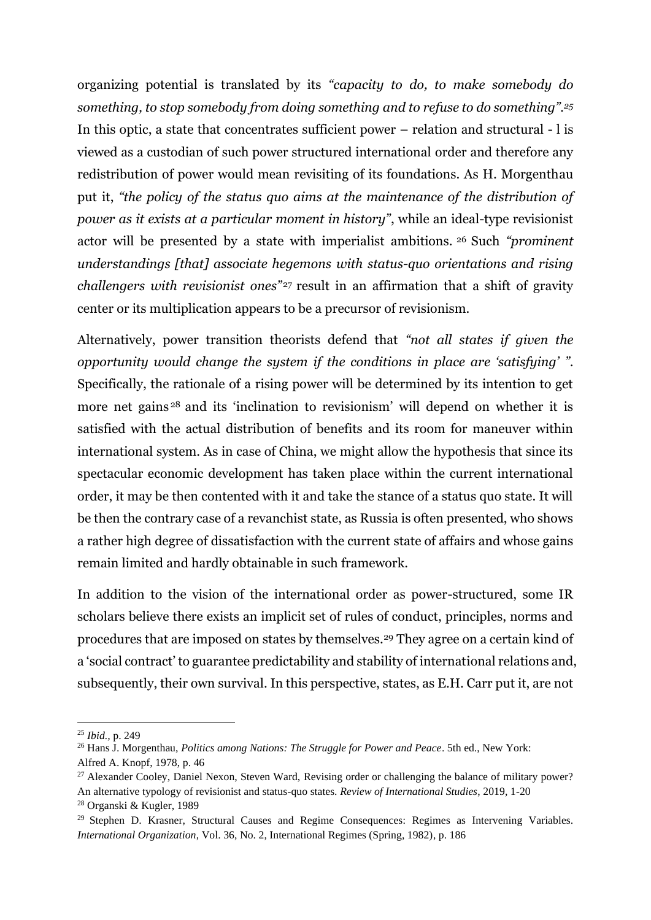organizing potential is translated by its *"capacity to do, to make somebody do something, to stop somebody from doing something and to refuse to do something".<sup>25</sup>* In this optic, a state that concentrates sufficient power – relation and structural - l is viewed as a custodian of such power structured international order and therefore any redistribution of power would mean revisiting of its foundations. As H. Morgenthau put it, *"the policy of the status quo aims at the maintenance of the distribution of power as it exists at a particular moment in history"*, while an ideal-type revisionist actor will be presented by a state with imperialist ambitions. <sup>26</sup> Such *"prominent understandings [that] associate hegemons with status-quo orientations and rising challengers with revisionist ones"*<sup>27</sup> result in an affirmation that a shift of gravity center or its multiplication appears to be a precursor of revisionism.

Alternatively, power transition theorists defend that *"not all states if given the opportunity would change the system if the conditions in place are 'satisfying' "*. Specifically, the rationale of a rising power will be determined by its intention to get more net gains <sup>28</sup> and its 'inclination to revisionism' will depend on whether it is satisfied with the actual distribution of benefits and its room for maneuver within international system. As in case of China, we might allow the hypothesis that since its spectacular economic development has taken place within the current international order, it may be then contented with it and take the stance of a status quo state. It will be then the contrary case of a revanchist state, as Russia is often presented, who shows a rather high degree of dissatisfaction with the current state of affairs and whose gains remain limited and hardly obtainable in such framework.

In addition to the vision of the international order as power-structured, some IR scholars believe there exists an implicit set of rules of conduct, principles, norms and procedures that are imposed on states by themselves.<sup>29</sup> They agree on a certain kind of a 'social contract' to guarantee predictability and stability of international relations and, subsequently, their own survival. In this perspective, states, as E.H. Carr put it, are not

<sup>25</sup> *Ibid.,* p. 249

<sup>26</sup> Hans J. Morgenthau, *Politics among Nations: The Struggle for Power and Peace*. 5th ed., New York: Alfred A. Knopf, 1978, p. 46

<sup>&</sup>lt;sup>27</sup> Alexander Cooley, Daniel Nexon, Steven Ward, Revising order or challenging the balance of military power? An alternative typology of revisionist and status-quo states. *Review of International Studies*, 2019, 1-20 <sup>28</sup> Organski & Kugler, 1989

<sup>&</sup>lt;sup>29</sup> Stephen D. Krasner, Structural Causes and Regime Consequences: Regimes as Intervening Variables. *International Organization*, Vol. 36, No. 2, International Regimes (Spring, 1982), p. 186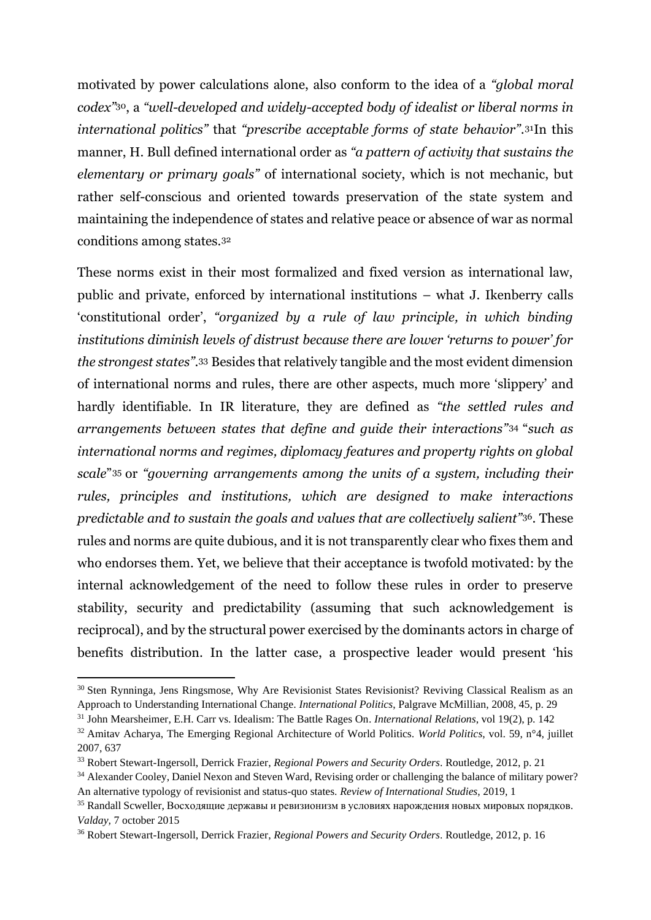motivated by power calculations alone, also conform to the idea of a *"global moral codex"*30, a *"well-developed and widely-accepted body of idealist or liberal norms in international politics"* that *"prescribe acceptable forms of state behavior"*. <sup>31</sup>In this manner, H. Bull defined international order as *"a pattern of activity that sustains the elementary or primary goals"* of international society, which is not mechanic, but rather self-conscious and oriented towards preservation of the state system and maintaining the independence of states and relative peace or absence of war as normal conditions among states.<sup>32</sup>

These norms exist in their most formalized and fixed version as international law, public and private, enforced by international institutions – what J. Ikenberry calls 'constitutional order', *"organized by a rule of law principle, in which binding institutions diminish levels of distrust because there are lower 'returns to power' for the strongest states"*. <sup>33</sup> Besides that relatively tangible and the most evident dimension of international norms and rules, there are other aspects, much more 'slippery' and hardly identifiable. In IR literature, they are defined as *"the settled rules and arrangements between states that define and guide their interactions"* <sup>34</sup> "*such as international norms and regimes, diplomacy features and property rights on global scale*" <sup>35</sup> or *"governing arrangements among the units of a system, including their rules, principles and institutions, which are designed to make interactions predictable and to sustain the goals and values that are collectively salient"*36. These rules and norms are quite dubious, and it is not transparently clear who fixes them and who endorses them. Yet, we believe that their acceptance is twofold motivated: by the internal acknowledgement of the need to follow these rules in order to preserve stability, security and predictability (assuming that such acknowledgement is reciprocal), and by the structural power exercised by the dominants actors in charge of benefits distribution. In the latter case, a prospective leader would present 'his

<sup>30</sup> Sten Rynninga, Jens Ringsmose, Why Are Revisionist States Revisionist? Reviving Classical Realism as an Approach to Understanding International Change. *International Politics*, Palgrave McMillian, 2008, 45, p. 29

<sup>31</sup> John Mearsheimer, E.H. Carr vs. Idealism: The Battle Rages On. *International Relations*, vol 19(2), p. 142

<sup>32</sup> Amitav Acharya, The Emerging Regional Architecture of World Politics. *World Politics*, vol. 59, n°4, juillet 2007, 637

<sup>33</sup> Robert Stewart-Ingersoll, Derrick Frazier, *Regional Powers and Security Orders*. Routledge, 2012, p. 21

<sup>&</sup>lt;sup>34</sup> Alexander Cooley, Daniel Nexon and Steven Ward, Revising order or challenging the balance of military power? An alternative typology of revisionist and status-quo states. *Review of International Studies*, 2019, 1

<sup>&</sup>lt;sup>35</sup> Randall Scweller, Восходящие державы и ревизионизм в условиях нарождения новых мировых порядков. *Valday,* 7 october 2015

<sup>36</sup> Robert Stewart-Ingersoll, Derrick Frazier, *Regional Powers and Security Orders*. Routledge, 2012, p. 16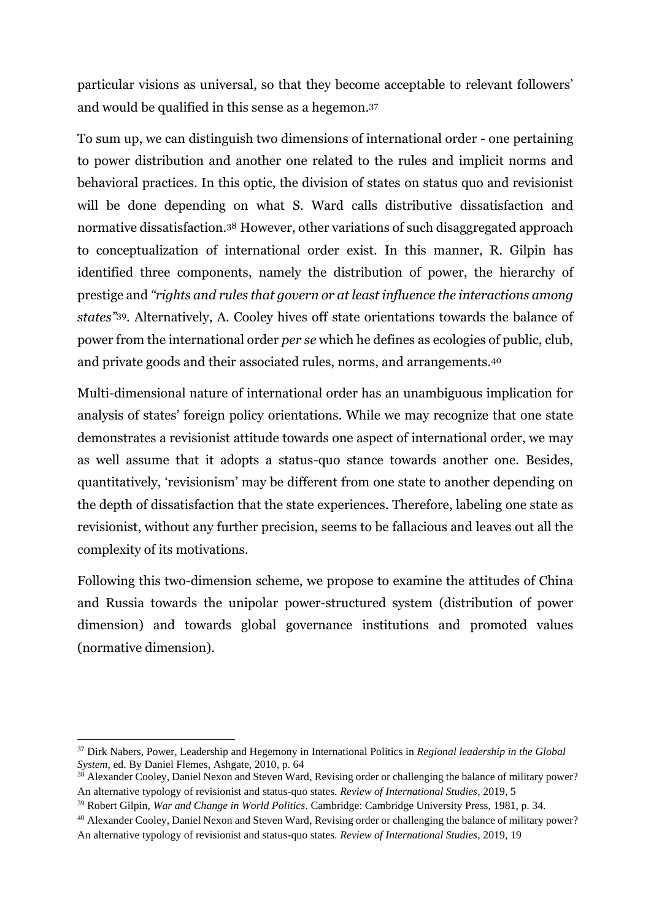particular visions as universal, so that they become acceptable to relevant followers' and would be qualified in this sense as a hegemon.<sup>37</sup>

To sum up, we can distinguish two dimensions of international order - one pertaining to power distribution and another one related to the rules and implicit norms and behavioral practices. In this optic, the division of states on status quo and revisionist will be done depending on what S. Ward calls distributive dissatisfaction and normative dissatisfaction.<sup>38</sup> However, other variations of such disaggregated approach to conceptualization of international order exist. In this manner, R. Gilpin has identified three components, namely the distribution of power, the hierarchy of prestige and *"rights and rules that govern or at least influence the interactions among states"* <sup>39</sup>. Alternatively, A. Cooley hives off state orientations towards the balance of power from the international order *per se* which he defines as ecologies of public, club, and private goods and their associated rules, norms, and arrangements.<sup>40</sup>

Multi-dimensional nature of international order has an unambiguous implication for analysis of states' foreign policy orientations. While we may recognize that one state demonstrates a revisionist attitude towards one aspect of international order, we may as well assume that it adopts a status-quo stance towards another one. Besides, quantitatively, 'revisionism' may be different from one state to another depending on the depth of dissatisfaction that the state experiences. Therefore, labeling one state as revisionist, without any further precision, seems to be fallacious and leaves out all the complexity of its motivations.

Following this two-dimension scheme, we propose to examine the attitudes of China and Russia towards the unipolar power-structured system (distribution of power dimension) and towards global governance institutions and promoted values (normative dimension).

<sup>37</sup> Dirk Nabers, Power, Leadership and Hegemony in International Politics in *Regional leadership in the Global System*, ed. By Daniel Flemes, Ashgate, 2010, p. 64

<sup>&</sup>lt;sup>38</sup> Alexander Cooley, Daniel Nexon and Steven Ward, Revising order or challenging the balance of military power? An alternative typology of revisionist and status-quo states. *Review of International Studies*, 2019, 5

<sup>39</sup> Robert Gilpin, *War and Change in World Politics*. Cambridge: Cambridge University Press, 1981, p. 34.

<sup>40</sup> Alexander Cooley, Daniel Nexon and Steven Ward, Revising order or challenging the balance of military power? An alternative typology of revisionist and status-quo states. *Review of International Studies*, 2019, 19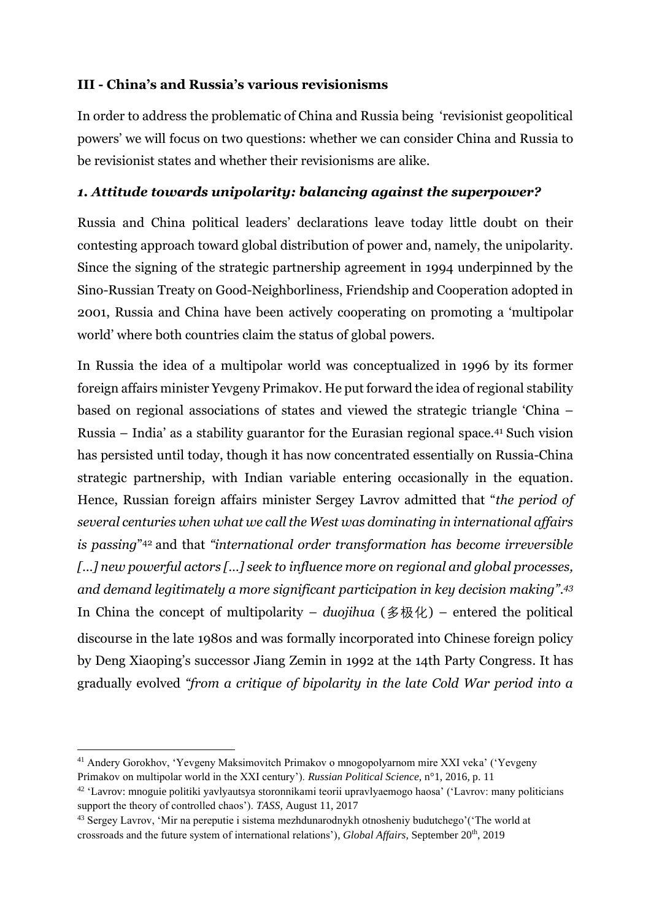# **III - China's and Russia's various revisionisms**

In order to address the problematic of China and Russia being 'revisionist geopolitical powers' we will focus on two questions: whether we can consider China and Russia to be revisionist states and whether their revisionisms are alike.

#### *1. Attitude towards unipolarity: balancing against the superpower?*

Russia and China political leaders' declarations leave today little doubt on their contesting approach toward global distribution of power and, namely, the unipolarity. Since the signing of the strategic partnership agreement in 1994 underpinned by the Sino-Russian Treaty on Good-Neighborliness, Friendship and Cooperation adopted in 2001, Russia and China have been actively cooperating on promoting a 'multipolar world' where both countries claim the status of global powers.

In Russia the idea of a multipolar world was conceptualized in 1996 by its former foreign affairs minister Yevgeny Primakov. He put forward the idea of regional stability based on regional associations of states and viewed the strategic triangle 'China – Russia – India' as a stability guarantor for the Eurasian regional space.<sup>41</sup> Such vision has persisted until today, though it has now concentrated essentially on Russia-China strategic partnership, with Indian variable entering occasionally in the equation. Hence, Russian foreign affairs minister Sergey Lavrov admitted that "*the period of several centuries when what we call the West was dominating in international affairs is passing*" <sup>42</sup> and that *"international order transformation has become irreversible […] new powerful actors […] seek to influence more on regional and global processes, and demand legitimately a more significant participation in key decision making". 43* In China the concept of multipolarity – *duojihua* (多极化) – entered the political discourse in the late 1980s and was formally incorporated into Chinese foreign policy by Deng Xiaoping's successor Jiang Zemin in 1992 at the 14th Party Congress. It has gradually evolved *"from a critique of bipolarity in the late Cold War period into a* 

<sup>41</sup> Andery Gorokhov, 'Yevgeny Maksimovitch Primakov o mnogopolyarnom mire XXI veka' ('Yevgeny Primakov on multipolar world in the XXI century'). *Russian Political Science,* n°1, 2016, p. 11

<sup>42</sup> 'Lavrov: mnoguie politiki yavlyautsya storonnikami teorii upravlyaemogo haosa' ('Lavrov: many politicians support the theory of controlled chaos'). *TASS,* August 11, 2017

<sup>43</sup> Sergey Lavrov, 'Mir na pereputie i sistema mezhdunarodnykh otnosheniy budutchego'('The world at crossroads and the future system of international relations'), *Global Affairs,* September 20th, 2019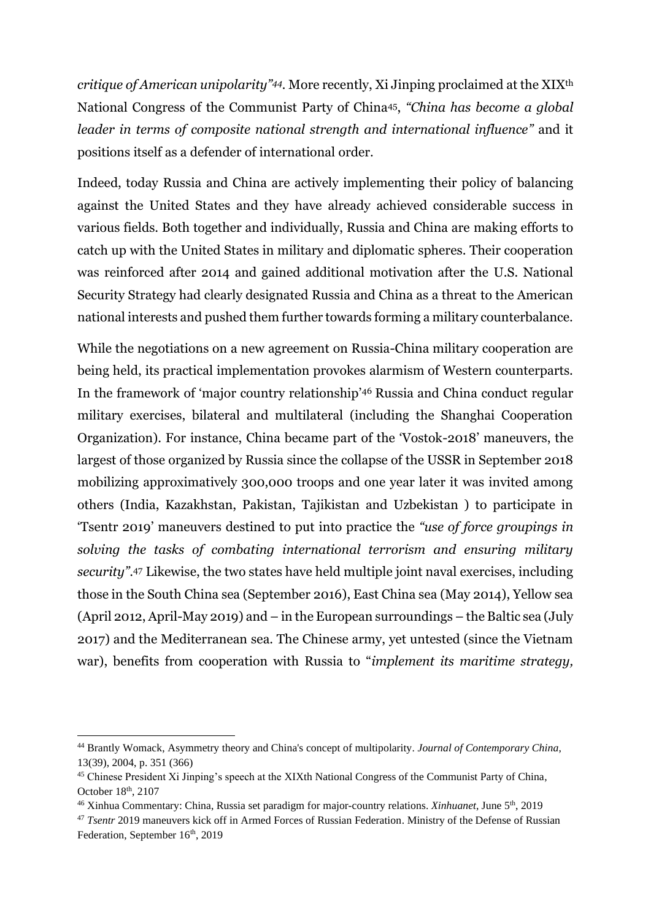*critique of American unipolarity"44.* More recently, Xi Jinping proclaimed at the XIXth National Congress of the Communist Party of China45, *"China has become a global leader in terms of composite national strength and international influence"* and it positions itself as a defender of international order.

Indeed, today Russia and China are actively implementing their policy of balancing against the United States and they have already achieved considerable success in various fields. Both together and individually, Russia and China are making efforts to catch up with the United States in military and diplomatic spheres. Their cooperation was reinforced after 2014 and gained additional motivation after the U.S. National Security Strategy had clearly designated Russia and China as a threat to the American national interests and pushed them further towards forming a military counterbalance.

While the negotiations on a new agreement on Russia-China military cooperation are being held, its practical implementation provokes alarmism of Western counterparts. In the framework of 'major country relationship'<sup>46</sup> Russia and China conduct regular military exercises, bilateral and multilateral (including the Shanghai Cooperation Organization). For instance, China became part of the 'Vostok-2018' maneuvers, the largest of those organized by Russia since the collapse of the USSR in September 2018 mobilizing approximatively 300,000 troops and one year later it was invited among others (India, Kazakhstan, Pakistan, Tajikistan and Uzbekistan ) to participate in 'Tsentr 2019' maneuvers destined to put into practice the *"use of force groupings in solving the tasks of combating international terrorism and ensuring military security"*. <sup>47</sup> Likewise, the two states have held multiple joint naval exercises, including those in the South China sea (September 2016), East China sea (May 2014), Yellow sea (April 2012, April-May 2019) and – in the European surroundings – the Baltic sea (July 2017) and the Mediterranean sea. The Chinese army, yet untested (since the Vietnam war), benefits from cooperation with Russia to "*implement its maritime strategy,* 

<sup>44</sup> Brantly Womack, Asymmetry theory and China's concept of multipolarity. *Journal of Contemporary China*, 13(39), 2004, p. 351 (366)

<sup>45</sup> Chinese President Xi Jinping's speech at the XIXth National Congress of the Communist Party of China, October 18th, 2107

<sup>&</sup>lt;sup>46</sup> Xinhua Commentary: China, Russia set paradigm for major-country relations. *Xinhuanet*, June 5<sup>th</sup>, 2019

<sup>47</sup> *Tsentr* 2019 maneuvers kick off in Armed Forces of Russian Federation. Ministry of the Defense of Russian Federation, September 16th, 2019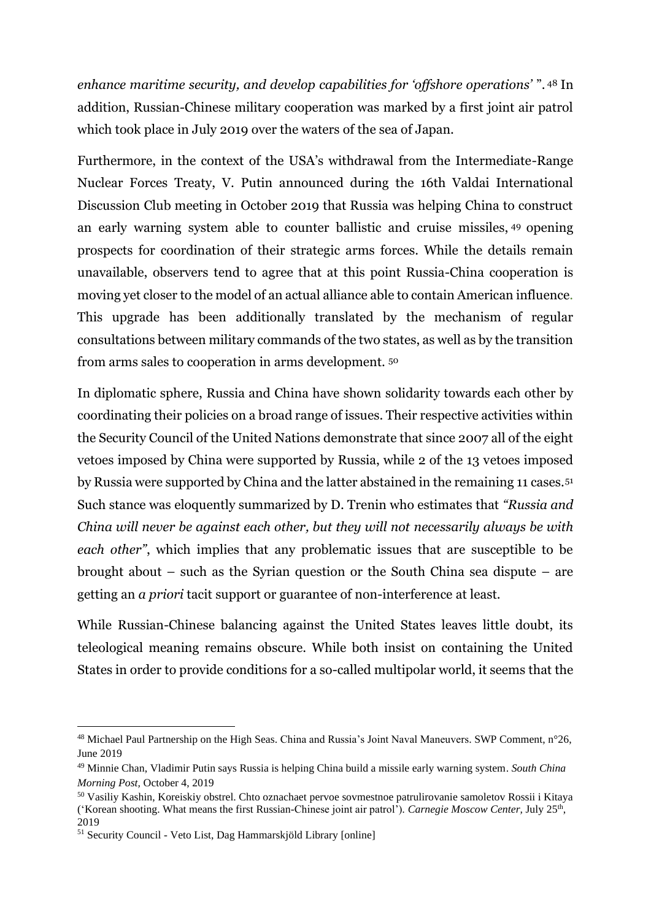*enhance maritime security, and develop capabilities for 'offshore operations'* ". <sup>48</sup> In addition, Russian-Chinese military cooperation was marked by a first joint air patrol which took place in July 2019 over the waters of the sea of Japan.

Furthermore, in the context of the USA's withdrawal from the Intermediate-Range Nuclear Forces Treaty, V. Putin announced during the 16th Valdai International Discussion Club meeting in October 2019 that Russia was helping China to construct an early warning system able to counter ballistic and cruise missiles, <sup>49</sup> opening prospects for coordination of their strategic arms forces. While the details remain unavailable, observers tend to agree that at this point Russia-China cooperation is moving yet closer to the model of an actual alliance able to contain American influence. This upgrade has been additionally translated by the mechanism of regular consultations between military commands of the two states, as well as by the transition from arms sales to cooperation in arms development. <sup>50</sup>

In diplomatic sphere, Russia and China have shown solidarity towards each other by coordinating their policies on a broad range of issues. Their respective activities within the Security Council of the United Nations demonstrate that since 2007 all of the eight vetoes imposed by China were supported by Russia, while 2 of the 13 vetoes imposed by Russia were supported by China and the latter abstained in the remaining 11 cases.<sup>51</sup> Such stance was eloquently summarized by D. Trenin who estimates that *"Russia and China will never be against each other, but they will not necessarily always be with each other"*, which implies that any problematic issues that are susceptible to be brought about – such as the Syrian question or the South China sea dispute – are getting an *a priori* tacit support or guarantee of non-interference at least.

While Russian-Chinese balancing against the United States leaves little doubt, its teleological meaning remains obscure. While both insist on containing the United States in order to provide conditions for a so-called multipolar world, it seems that the

<sup>48</sup> Michael Paul Partnership on the High Seas. China and Russia's Joint Naval Maneuvers. SWP Comment, n°26, June 2019

<sup>49</sup> Minnie Chan, Vladimir Putin says Russia is helping China build a missile early warning system. *South China Morning Post,* October 4, 2019

<sup>50</sup> Vasiliy Kashin, Koreiskiy obstrel. Chto oznachaet pervoe sovmestnoe patrulirovanie samoletov Rossii i Kitaya ('Korean shooting. What means the first Russian-Chinese joint air patrol')*. Carnegie Moscow Center,* July 25th , 2019

<sup>51</sup> Security Council - Veto List, Dag Hammarskjöld Library [online]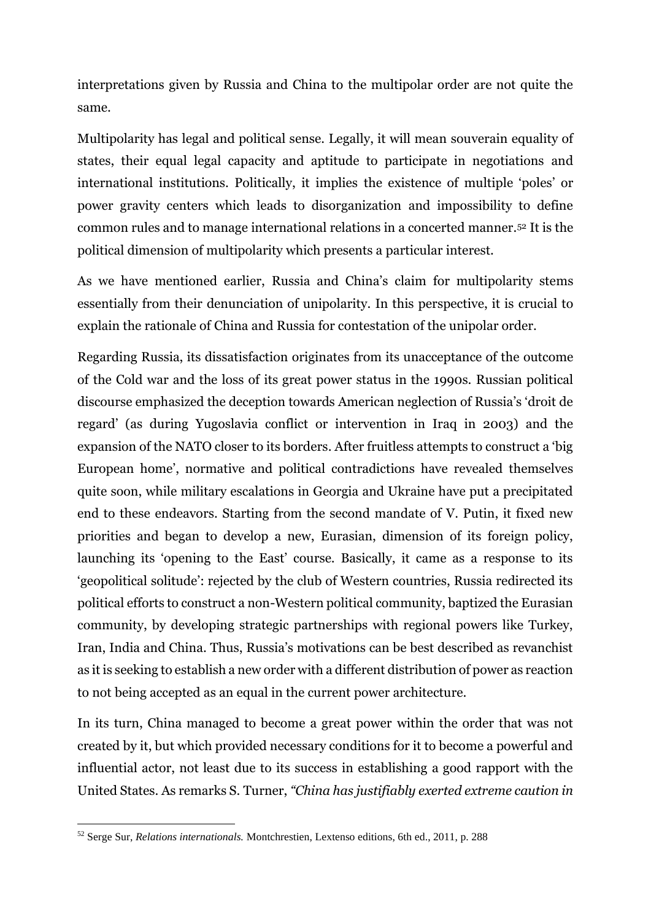interpretations given by Russia and China to the multipolar order are not quite the same.

Multipolarity has legal and political sense. Legally, it will mean souverain equality of states, their equal legal capacity and aptitude to participate in negotiations and international institutions. Politically, it implies the existence of multiple 'poles' or power gravity centers which leads to disorganization and impossibility to define common rules and to manage international relations in a concerted manner.<sup>52</sup> It is the political dimension of multipolarity which presents a particular interest.

As we have mentioned earlier, Russia and China's claim for multipolarity stems essentially from their denunciation of unipolarity. In this perspective, it is crucial to explain the rationale of China and Russia for contestation of the unipolar order.

Regarding Russia, its dissatisfaction originates from its unacceptance of the outcome of the Cold war and the loss of its great power status in the 1990s. Russian political discourse emphasized the deception towards American neglection of Russia's 'droit de regard' (as during Yugoslavia conflict or intervention in Iraq in 2003) and the expansion of the NATO closer to its borders. After fruitless attempts to construct a 'big European home', normative and political contradictions have revealed themselves quite soon, while military escalations in Georgia and Ukraine have put a precipitated end to these endeavors. Starting from the second mandate of V. Putin, it fixed new priorities and began to develop a new, Eurasian, dimension of its foreign policy, launching its 'opening to the East' course. Basically, it came as a response to its 'geopolitical solitude': rejected by the club of Western countries, Russia redirected its political efforts to construct a non-Western political community, baptized the Eurasian community, by developing strategic partnerships with regional powers like Turkey, Iran, India and China. Thus, Russia's motivations can be best described as revanchist as it is seeking to establish a new order with a different distribution of power as reaction to not being accepted as an equal in the current power architecture.

In its turn, China managed to become a great power within the order that was not created by it, but which provided necessary conditions for it to become a powerful and influential actor, not least due to its success in establishing a good rapport with the United States. As remarks S. Turner, *"China has justifiably exerted extreme caution in* 

<sup>52</sup> Serge Sur, *Relations internationals.* Montchrestien, Lextenso editions, 6th ed., 2011, p. 288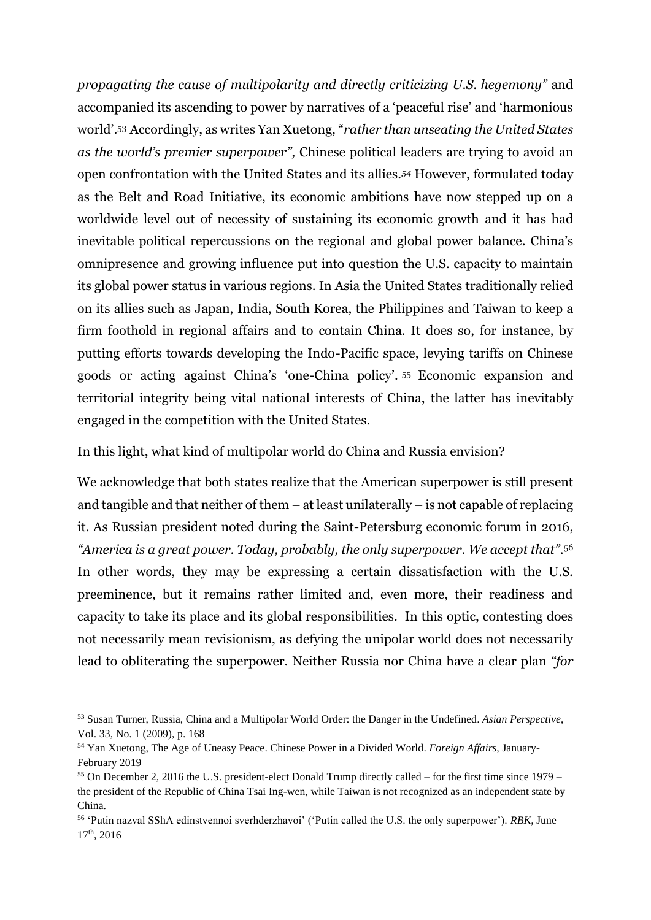*propagating the cause of multipolarity and directly criticizing U.S. hegemony"* and accompanied its ascending to power by narratives of a 'peaceful rise' and 'harmonious world'.<sup>53</sup> Accordingly, as writes Yan Xuetong, "*rather than unseating the United States as the world's premier superpower",* Chinese political leaders are trying to avoid an open confrontation with the United States and its allies.*<sup>54</sup>* However, formulated today as the Belt and Road Initiative, its economic ambitions have now stepped up on a worldwide level out of necessity of sustaining its economic growth and it has had inevitable political repercussions on the regional and global power balance. China's omnipresence and growing influence put into question the U.S. capacity to maintain its global power status in various regions. In Asia the United States traditionally relied on its allies such as Japan, India, South Korea, the Philippines and Taiwan to keep a firm foothold in regional affairs and to contain China. It does so, for instance, by putting efforts towards developing the Indo-Pacific space, levying tariffs on Chinese goods or acting against China's 'one-China policy'. <sup>55</sup> Economic expansion and territorial integrity being vital national interests of China, the latter has inevitably engaged in the competition with the United States.

In this light, what kind of multipolar world do China and Russia envision?

We acknowledge that both states realize that the American superpower is still present and tangible and that neither of them – at least unilaterally – is not capable of replacing it. As Russian president noted during the Saint-Petersburg economic forum in 2016, *"America is a great power. Today, probably, the only superpower. We accept that"*. 56 In other words, they may be expressing a certain dissatisfaction with the U.S. preeminence, but it remains rather limited and, even more, their readiness and capacity to take its place and its global responsibilities. In this optic, contesting does not necessarily mean revisionism, as defying the unipolar world does not necessarily lead to obliterating the superpower. Neither Russia nor China have a clear plan *"for* 

<sup>53</sup> Susan Turner, Russia, China and a Multipolar World Order: the Danger in the Undefined. *Asian Perspective*, Vol. 33, No. 1 (2009), p. 168

<sup>54</sup> Yan Xuetong, The Age of Uneasy Peace. Chinese Power in a Divided World. *Foreign Affairs,* January-February 2019

<sup>55</sup> On December 2, 2016 the U.S. president-elect Donald Trump directly called – for the first time since 1979 – the president of the Republic of China Tsai Ing-wen, while Taiwan is not recognized as an independent state by China.

<sup>56</sup> 'Putin nazval SShA edinstvennoi sverhderzhavoi' ('Putin called the U.S. the only superpower'). *RBK,* June 17th, 2016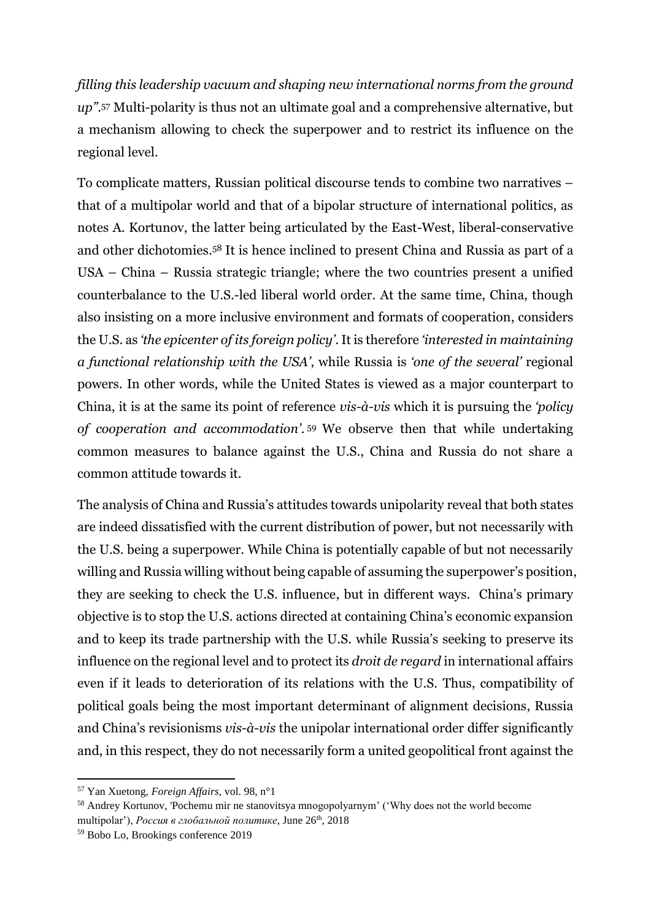*filling this leadership vacuum and shaping new international norms from the ground up".*<sup>57</sup> Multi-polarity is thus not an ultimate goal and a comprehensive alternative, but a mechanism allowing to check the superpower and to restrict its influence on the regional level.

To complicate matters, Russian political discourse tends to combine two narratives – that of a multipolar world and that of a bipolar structure of international politics, as notes A. Kortunov, the latter being articulated by the East-West, liberal-conservative and other dichotomies. <sup>58</sup> It is hence inclined to present China and Russia as part of a USA – China – Russia strategic triangle; where the two countries present a unified counterbalance to the U.S.-led liberal world order. At the same time, China, though also insisting on a more inclusive environment and formats of cooperation, considers the U.S. as *'the epicenter of its foreign policy'*. It is therefore *'interested in maintaining a functional relationship with the USA'*, while Russia is *'one of the several'* regional powers. In other words, while the United States is viewed as a major counterpart to China, it is at the same its point of reference *vis-à-vis* which it is pursuing the *'policy of cooperation and accommodation'*. <sup>59</sup> We observe then that while undertaking common measures to balance against the U.S., China and Russia do not share a common attitude towards it.

The analysis of China and Russia's attitudes towards unipolarity reveal that both states are indeed dissatisfied with the current distribution of power, but not necessarily with the U.S. being a superpower. While China is potentially capable of but not necessarily willing and Russia willing without being capable of assuming the superpower's position, they are seeking to check the U.S. influence, but in different ways. China's primary objective is to stop the U.S. actions directed at containing China's economic expansion and to keep its trade partnership with the U.S. while Russia's seeking to preserve its influence on the regional level and to protect its *droit de regard* in international affairs even if it leads to deterioration of its relations with the U.S. Thus, compatibility of political goals being the most important determinant of alignment decisions, Russia and China's revisionisms *vis-à-vis* the unipolar international order differ significantly and, in this respect, they do not necessarily form a united geopolitical front against the

<sup>57</sup> Yan Xuetong, *Foreign Affairs*, vol. 98, n°1

<sup>58</sup> Andrey Kortunov, 'Pochemu mir ne stanovitsya mnogopolyarnym' ('Why does not the world become multipolar'), *Россия в глобальной политике*, June 26th, 2018

<sup>59</sup> Bobo Lo, Brookings conference 2019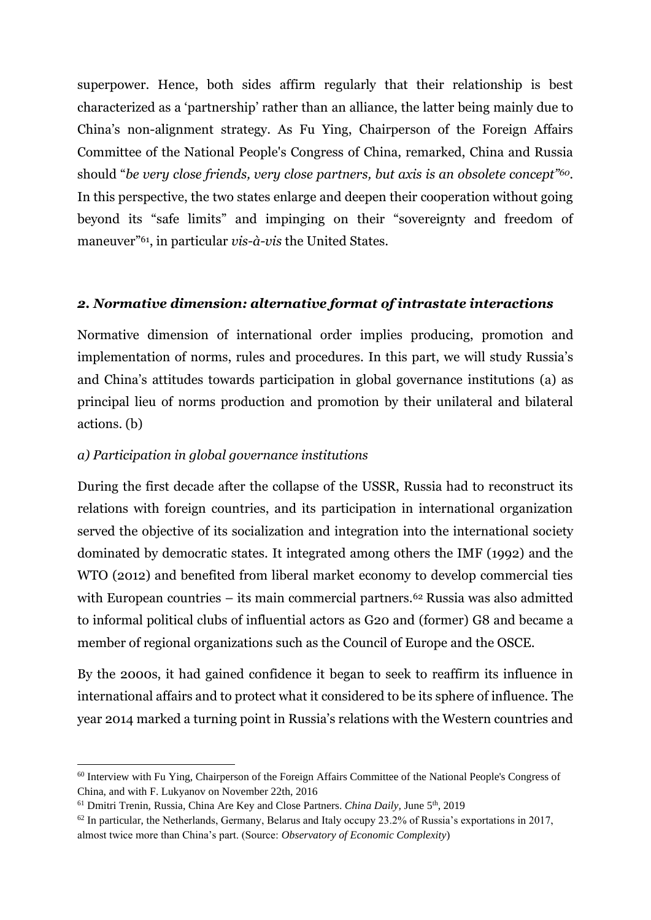superpower. Hence, both sides affirm regularly that their relationship is best characterized as a 'partnership' rather than an alliance, the latter being mainly due to China's non-alignment strategy. As Fu Ying, Chairperson of the Foreign Affairs Committee of the National People's Congress of China, remarked, China and Russia should "*be very close friends, very close partners, but axis is an obsolete concept"60.* In this perspective, the two states enlarge and deepen their cooperation without going beyond its "safe limits" and impinging on their "sovereignty and freedom of maneuver"61, in particular *vis-à-vis* the United States.

## *2. Normative dimension: alternative format of intrastate interactions*

Normative dimension of international order implies producing, promotion and implementation of norms, rules and procedures. In this part, we will study Russia's and China's attitudes towards participation in global governance institutions (a) as principal lieu of norms production and promotion by their unilateral and bilateral actions. (b)

# *a) Participation in global governance institutions*

During the first decade after the collapse of the USSR, Russia had to reconstruct its relations with foreign countries, and its participation in international organization served the objective of its socialization and integration into the international society dominated by democratic states. It integrated among others the IMF (1992) and the WTO (2012) and benefited from liberal market economy to develop commercial ties with European countries – its main commercial partners.<sup>62</sup> Russia was also admitted to informal political clubs of influential actors as G20 and (former) G8 and became a member of regional organizations such as the Council of Europe and the OSCE.

By the 2000s, it had gained confidence it began to seek to reaffirm its influence in international affairs and to protect what it considered to be its sphere of influence. The year 2014 marked a turning point in Russia's relations with the Western countries and

<sup>&</sup>lt;sup>60</sup> Interview with Fu Ying, Chairperson of the Foreign Affairs Committee of the National People's Congress of China, and with F. Lukyanov on November 22th, 2016

<sup>&</sup>lt;sup>61</sup> Dmitri Trenin, Russia, China Are Key and Close Partners. *China Daily*, June 5<sup>th</sup>, 2019

 $62$  In particular, the Netherlands, Germany, Belarus and Italy occupy 23.2% of Russia's exportations in 2017, almost twice more than China's part. (Source: *Observatory of Economic Complexity*)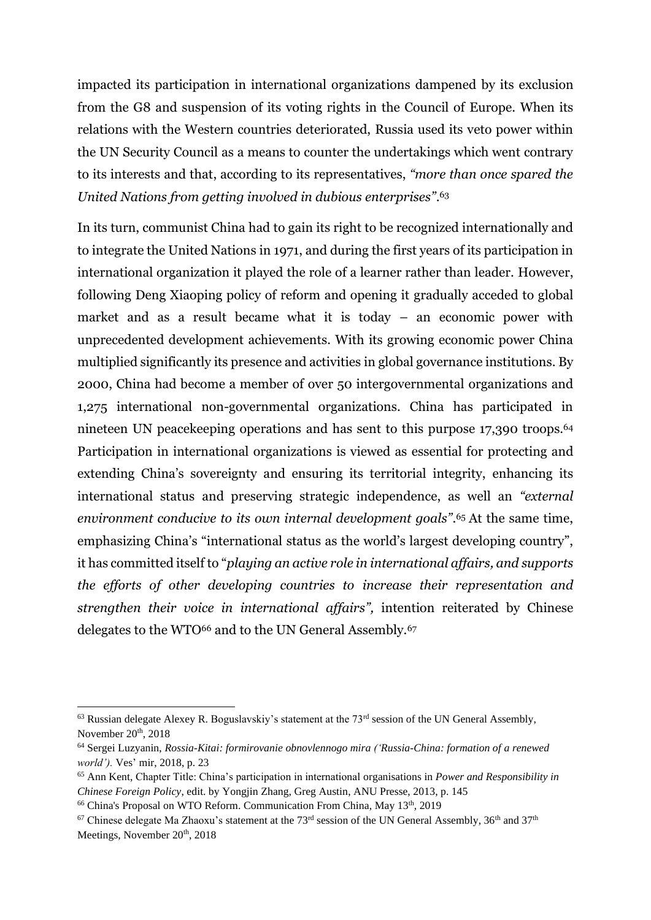impacted its participation in international organizations dampened by its exclusion from the G8 and suspension of its voting rights in the Council of Europe. When its relations with the Western countries deteriorated, Russia used its veto power within the UN Security Council as a means to counter the undertakings which went contrary to its interests and that, according to its representatives, *"more than once spared the United Nations from getting involved in dubious enterprises"*. 63

In its turn, communist China had to gain its right to be recognized internationally and to integrate the United Nations in 1971, and during the first years of its participation in international organization it played the role of a learner rather than leader. However, following Deng Xiaoping policy of reform and opening it gradually acceded to global market and as a result became what it is today – an economic power with unprecedented development achievements. With its growing economic power China multiplied significantly its presence and activities in global governance institutions. By 2000, China had become a member of over 50 intergovernmental organizations and 1,275 international non-governmental organizations. China has participated in nineteen UN peacekeeping operations and has sent to this purpose 17,390 troops.<sup>64</sup> Participation in international organizations is viewed as essential for protecting and extending China's sovereignty and ensuring its territorial integrity, enhancing its international status and preserving strategic independence, as well an *"external environment conducive to its own internal development goals"*. <sup>65</sup> At the same time, emphasizing China's "international status as the world's largest developing country", it has committed itself to "*playing an active role in international affairs, and supports the efforts of other developing countries to increase their representation and strengthen their voice in international affairs",* intention reiterated by Chinese delegates to the WTO<sup>66</sup> and to the UN General Assembly.<sup>67</sup>

 $63$  Russian delegate Alexey R. Boguslavskiy's statement at the  $73<sup>rd</sup>$  session of the UN General Assembly, November 20<sup>th</sup>, 2018

<sup>64</sup> Sergei Luzyanin, *Rossia-Kitai: formirovanie obnovlennogo mira ('Russia-China: formation of a renewed world').* Ves' mir, 2018, p. 23

<sup>65</sup> Ann Kent, Chapter Title: China's participation in international organisations in *Power and Responsibility in Chinese Foreign Policy*, edit. by Yongjin Zhang, Greg Austin, ANU Presse, 2013, p. 145

<sup>&</sup>lt;sup>66</sup> China's Proposal on WTO Reform. Communication From China, May 13<sup>th</sup>, 2019

<sup>&</sup>lt;sup>67</sup> Chinese delegate Ma Zhaoxu's statement at the 73<sup>rd</sup> session of the UN General Assembly, 36<sup>th</sup> and 37<sup>th</sup> Meetings, November 20<sup>th</sup>, 2018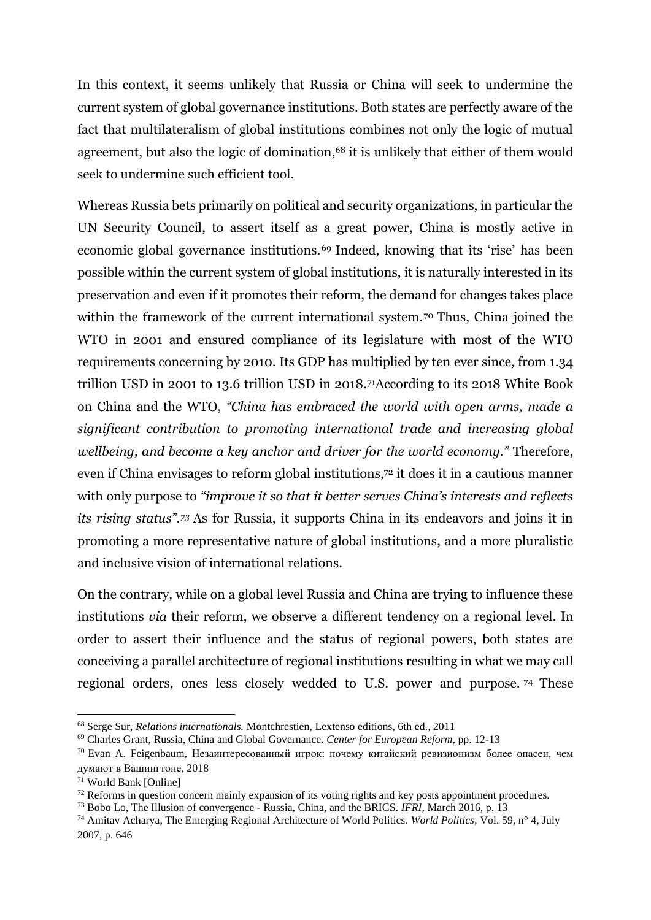In this context, it seems unlikely that Russia or China will seek to undermine the current system of global governance institutions. Both states are perfectly aware of the fact that multilateralism of global institutions combines not only the logic of mutual agreement, but also the logic of domination,<sup>68</sup> it is unlikely that either of them would seek to undermine such efficient tool.

Whereas Russia bets primarily on political and security organizations, in particular the UN Security Council, to assert itself as a great power, China is mostly active in economic global governance institutions.<sup>69</sup> Indeed, knowing that its 'rise' has been possible within the current system of global institutions, it is naturally interested in its preservation and even if it promotes their reform, the demand for changes takes place within the framework of the current international system.<sup>70</sup> Thus, China joined the WTO in 2001 and ensured compliance of its legislature with most of the WTO requirements concerning by 2010. Its GDP has multiplied by ten ever since, from 1.34 trillion USD in 2001 to 13.6 trillion USD in 2018.71According to its 2018 White Book on China and the WTO, *"China has embraced the world with open arms, made a significant contribution to promoting international trade and increasing global wellbeing, and become a key anchor and driver for the world economy."* Therefore, even if China envisages to reform global institutions,<sup>72</sup> it does it in a cautious manner with only purpose to *"improve it so that it better serves China's interests and reflects its rising status".<sup>73</sup>* As for Russia, it supports China in its endeavors and joins it in promoting a more representative nature of global institutions, and a more pluralistic and inclusive vision of international relations.

On the contrary, while on a global level Russia and China are trying to influence these institutions *via* their reform, we observe a different tendency on a regional level. In order to assert their influence and the status of regional powers, both states are conceiving a parallel architecture of regional institutions resulting in what we may call regional orders, ones less closely wedded to U.S. power and purpose. <sup>74</sup> These

<sup>68</sup> Serge Sur, *Relations internationals.* Montchrestien, Lextenso editions, 6th ed., 2011

<sup>69</sup> Charles Grant, Russia, China and Global Governance. *Center for European Reform*, pp. 12-13

 $70$  Evan A. Feigenbaum, Незаинтересованный игрок: почему китайский ревизионизм более опасен, чем думают в Вашингтоне, 2018

<sup>71</sup> World Bank [Online]

<sup>&</sup>lt;sup>72</sup> Reforms in question concern mainly expansion of its voting rights and key posts appointment procedures.

<sup>73</sup> Bobo Lo, The Illusion of convergence - Russia, China, and the BRICS. *IFRI,* March 2016, p. 13

<sup>74</sup> Amitav Acharya, The Emerging Regional Architecture of World Politics. *World Politics*, Vol. 59, n° 4, July 2007, p. 646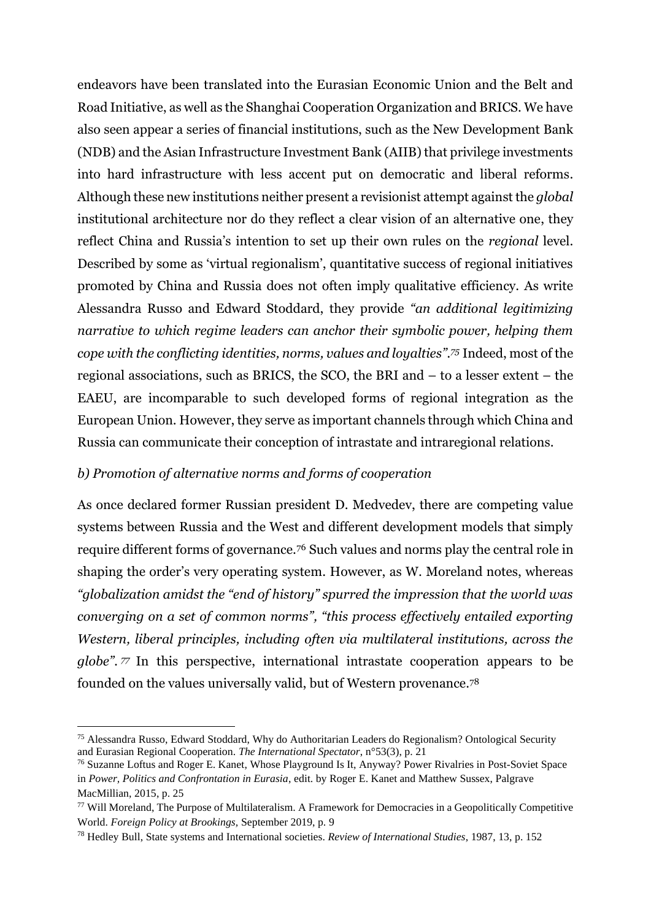endeavors have been translated into the Eurasian Economic Union and the Belt and Road Initiative, as well as the Shanghai Cooperation Organization and BRICS. We have also seen appear a series of financial institutions, such as the New Development Bank (NDB) and the Asian Infrastructure Investment Bank (AIIB) that privilege investments into hard infrastructure with less accent put on democratic and liberal reforms. Although these new institutions neither present a revisionist attempt against the *global*  institutional architecture nor do they reflect a clear vision of an alternative one, they reflect China and Russia's intention to set up their own rules on the *regional* level. Described by some as 'virtual regionalism', quantitative success of regional initiatives promoted by China and Russia does not often imply qualitative efficiency. As write Alessandra Russo and Edward Stoddard, they provide *"an additional legitimizing narrative to which regime leaders can anchor their symbolic power, helping them cope with the conflicting identities, norms, values and loyalties".<sup>75</sup>* Indeed, most of the regional associations, such as BRICS, the SCO, the BRI and – to a lesser extent – the EAEU, are incomparable to such developed forms of regional integration as the European Union. However, they serve as important channels through which China and Russia can communicate their conception of intrastate and intraregional relations.

#### *b) Promotion of alternative norms and forms of cooperation*

As once declared former Russian president D. Medvedev, there are competing value systems between Russia and the West and different development models that simply require different forms of governance.<sup>76</sup> Such values and norms play the central role in shaping the order's very operating system. However, as W. Moreland notes, whereas *"globalization amidst the "end of history" spurred the impression that the world was converging on a set of common norms", "this process effectively entailed exporting Western, liberal principles, including often via multilateral institutions, across the globe". <sup>77</sup>* In this perspective, international intrastate cooperation appears to be founded on the values universally valid, but of Western provenance. 78

<sup>75</sup> Alessandra Russo, Edward Stoddard, Why do Authoritarian Leaders do Regionalism? Ontological Security and Eurasian Regional Cooperation. *The International Spectator*, n°53(3), p. 21

<sup>76</sup> Suzanne Loftus and Roger E. Kanet, Whose Playground Is It, Anyway? Power Rivalries in Post-Soviet Space in *Power, Politics and Confrontation in Eurasia*, edit. by Roger E. Kanet and Matthew Sussex, Palgrave MacMillian, 2015, p. 25

<sup>77</sup> Will Moreland, The Purpose of Multilateralism. A Framework for Democracies in a Geopolitically Competitive World. *Foreign Policy at Brookings,* September 2019, p. 9

<sup>78</sup> Hedley Bull, State systems and International societies. *Review of International Studies*, 1987, 13, p. 152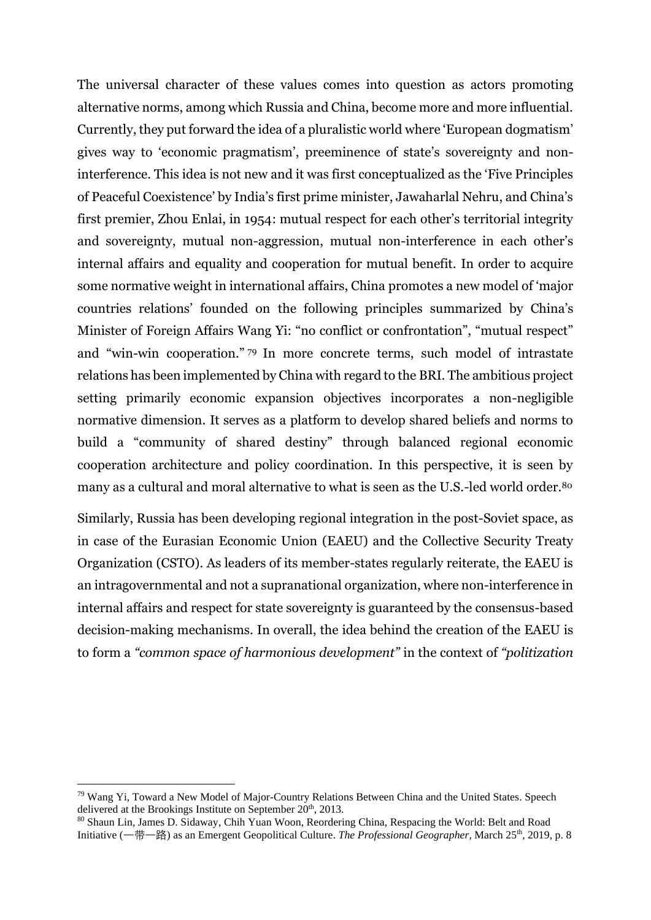The universal character of these values comes into question as actors promoting alternative norms, among which Russia and China, become more and more influential. Currently, they put forward the idea of a pluralistic world where 'European dogmatism' gives way to 'economic pragmatism', preeminence of state's sovereignty and noninterference. This idea is not new and it was first conceptualized as the 'Five Principles of Peaceful Coexistence' by India's first prime minister, Jawaharlal Nehru, and China's first premier, Zhou Enlai, in 1954: mutual respect for each other's territorial integrity and sovereignty, mutual non-aggression, mutual non-interference in each other's internal affairs and equality and cooperation for mutual benefit. In order to acquire some normative weight in international affairs, China promotes a new model of 'major countries relations' founded on the following principles summarized by China's Minister of Foreign Affairs Wang Yi: "no conflict or confrontation", "mutual respect" and "win-win cooperation." <sup>79</sup> In more concrete terms, such model of intrastate relations has been implemented by China with regard to the BRI*.* The ambitious project setting primarily economic expansion objectives incorporates a non-negligible normative dimension. It serves as a platform to develop shared beliefs and norms to build a "community of shared destiny" through balanced regional economic cooperation architecture and policy coordination. In this perspective, it is seen by many as a cultural and moral alternative to what is seen as the U.S.-led world order.<sup>80</sup>

Similarly, Russia has been developing regional integration in the post-Soviet space, as in case of the Eurasian Economic Union (EAEU) and the Collective Security Treaty Organization (CSTO). As leaders of its member-states regularly reiterate, the EAEU is an intragovernmental and not a supranational organization, where non-interference in internal affairs and respect for state sovereignty is guaranteed by the consensus-based decision-making mechanisms. In overall, the idea behind the creation of the EAEU is to form a *"common space of harmonious development"* in the context of *"politization* 

<sup>79</sup> Wang Yi, Toward a New Model of Major-Country Relations Between China and the United States. Speech delivered at the Brookings Institute on September  $20<sup>th</sup>$ , 2013.

<sup>80</sup> Shaun Lin, James D. Sidaway, Chih Yuan Woon, Reordering China, Respacing the World: Belt and Road Initiative (一带一路) as an Emergent Geopolitical Culture. *The Professional Geographer,* March 25th, 2019, p. 8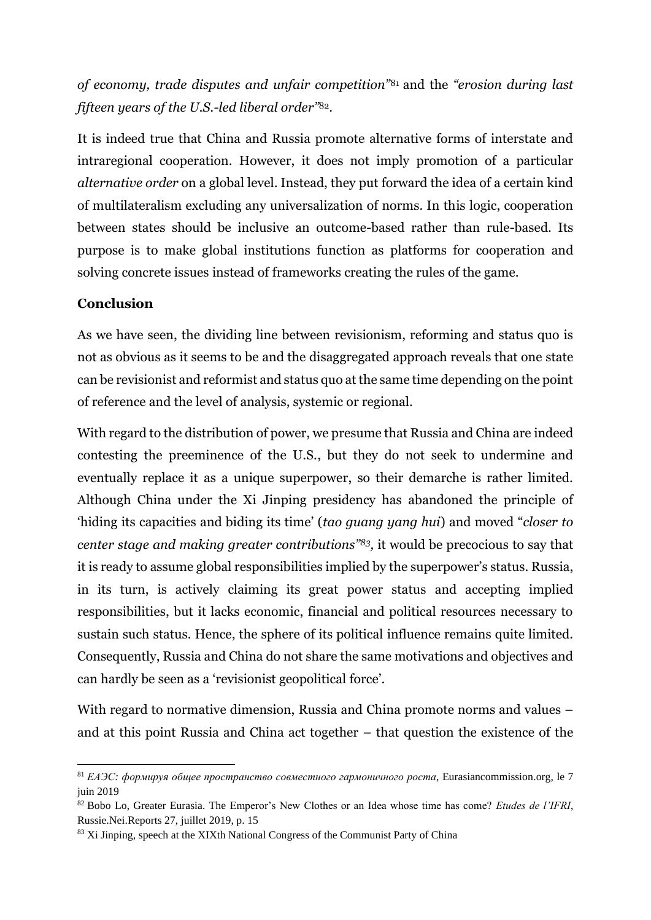*of economy, trade disputes and unfair competition"*<sup>81</sup> and the *"erosion during last fifteen years of the U.S.-led liberal order"*82.

It is indeed true that China and Russia promote alternative forms of interstate and intraregional cooperation. However, it does not imply promotion of a particular *alternative order* on a global level. Instead, they put forward the idea of a certain kind of multilateralism excluding any universalization of norms. In this logic, cooperation between states should be inclusive an outcome-based rather than rule-based. Its purpose is to make global institutions function as platforms for cooperation and solving concrete issues instead of frameworks creating the rules of the game.

#### **Conclusion**

As we have seen, the dividing line between revisionism, reforming and status quo is not as obvious as it seems to be and the disaggregated approach reveals that one state can be revisionist and reformist and status quo at the same time depending on the point of reference and the level of analysis, systemic or regional.

With regard to the distribution of power, we presume that Russia and China are indeed contesting the preeminence of the U.S., but they do not seek to undermine and eventually replace it as a unique superpower, so their demarche is rather limited. Although China under the Xi Jinping presidency has abandoned the principle of 'hiding its capacities and biding its time' (*tao guang yang hui*) and moved "*closer to center stage and making greater contributions"83,* it would be precocious to say that it is ready to assume global responsibilities implied by the superpower's status. Russia, in its turn, is actively claiming its great power status and accepting implied responsibilities, but it lacks economic, financial and political resources necessary to sustain such status. Hence, the sphere of its political influence remains quite limited. Consequently, Russia and China do not share the same motivations and objectives and can hardly be seen as a 'revisionist geopolitical force'.

With regard to normative dimension, Russia and China promote norms and values – and at this point Russia and China act together – that question the existence of the

<sup>81</sup> *ЕАЭС: формируя общее пространство совместного гармоничного роста*, Eurasiancommission.org, le 7 juin 2019

<sup>82</sup> Bobo Lo, Greater Eurasia. The Emperor's New Clothes or an Idea whose time has come? *Etudes de l'IFRI*, Russie.Nei.Reports 27, juillet 2019, p. 15

<sup>&</sup>lt;sup>83</sup> Xi Jinping, speech at the XIXth National Congress of the Communist Party of China